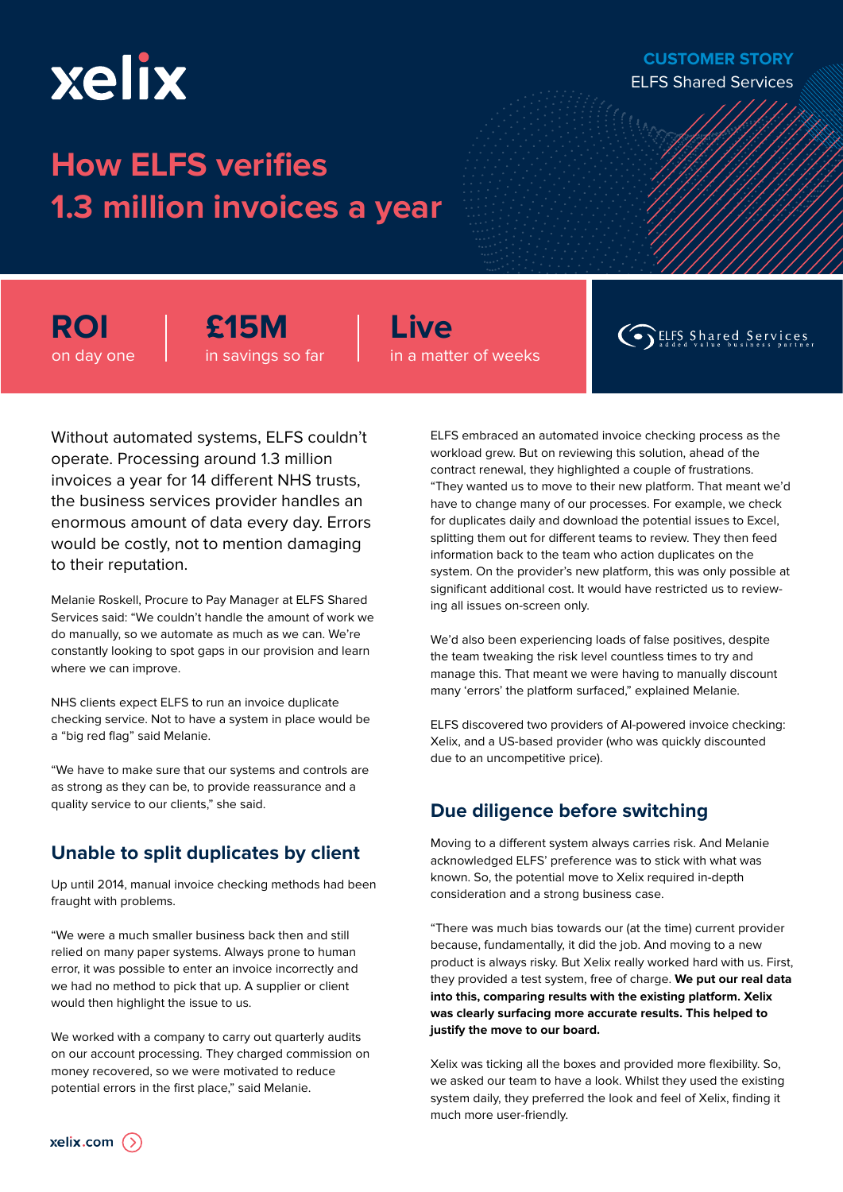# xelix

## **How ELFS verifies 1.3 million invoices a year**

**ROI** on day one **£15M** in savings so far **Live** in a matter of weeks

**Co** ELFS Shared Services

Without automated systems, ELFS couldn't operate. Processing around 1.3 million invoices a year for 14 different NHS trusts, the business services provider handles an enormous amount of data every day. Errors would be costly, not to mention damaging to their reputation.

Melanie Roskell, Procure to Pay Manager at ELFS Shared Services said: "We couldn't handle the amount of work we do manually, so we automate as much as we can. We're constantly looking to spot gaps in our provision and learn where we can improve.

NHS clients expect ELFS to run an invoice duplicate checking service. Not to have a system in place would be a "big red flag" said Melanie.

"We have to make sure that our systems and controls are as strong as they can be, to provide reassurance and a quality service to our clients," she said.

Up until 2014, manual invoice checking methods had been fraught with problems.

"We were a much smaller business back then and still relied on many paper systems. Always prone to human error, it was possible to enter an invoice incorrectly and we had no method to pick that up. A supplier or client would then highlight the issue to us.

We worked with a company to carry out quarterly audits on our account processing. They charged commission on money recovered, so we were motivated to reduce potential errors in the first place," said Melanie.

ELFS embraced an automated invoice checking process as the workload grew. But on reviewing this solution, ahead of the contract renewal, they highlighted a couple of frustrations. "They wanted us to move to their new platform. That meant we'd have to change many of our processes. For example, we check for duplicates daily and download the potential issues to Excel, splitting them out for different teams to review. They then feed information back to the team who action duplicates on the system. On the provider's new platform, this was only possible at significant additional cost. It would have restricted us to reviewing all issues on-screen only.

We'd also been experiencing loads of false positives, despite the team tweaking the risk level countless times to try and manage this. That meant we were having to manually discount many 'errors' the platform surfaced," explained Melanie.

ELFS discovered two providers of AI-powered invoice checking: Xelix, and a US-based provider (who was quickly discounted due to an uncompetitive price).

### **Due diligence before switching**

**Unable to split duplicates by client** Moving to a different system always carries risk. And Melanie<br>acknowledged ELES' preference was to stick with what was acknowledged ELFS' preference was to stick with what was known. So, the potential move to Xelix required in-depth consideration and a strong business case.

> "There was much bias towards our (at the time) current provider because, fundamentally, it did the job. And moving to a new product is always risky. But Xelix really worked hard with us. First, they provided a test system, free of charge. **We put our real data into this, comparing results with the existing platform. Xelix was clearly surfacing more accurate results. This helped to justify the move to our board.**

Xelix was ticking all the boxes and provided more flexibility. So, we asked our team to have a look. Whilst they used the existing system daily, they preferred the look and feel of Xelix, finding it much more user-friendly.